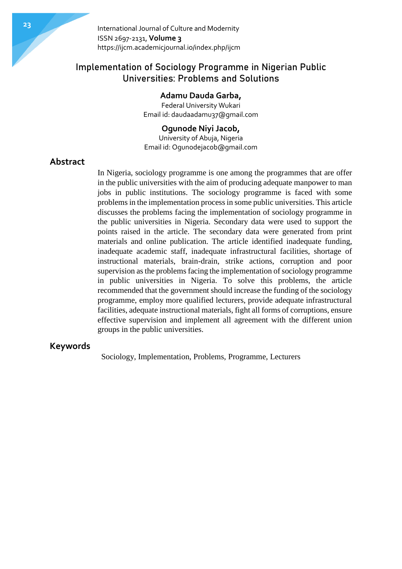# Implementation of Sociology Programme in Nigerian Public Universities: Problems and Solutions

# **Adamu Dauda Garba,**

Federal University Wukari Email id: daudaadamu37@gmail.com

## **Ogunode Niyi Jacob,**

University of Abuja, Nigeria Email id: Ogunodejacob@gmail.com

# **Abstract**

In Nigeria, sociology programme is one among the programmes that are offer in the public universities with the aim of producing adequate manpower to man jobs in public institutions. The sociology programme is faced with some problems in the implementation process in some public universities. This article discusses the problems facing the implementation of sociology programme in the public universities in Nigeria. Secondary data were used to support the points raised in the article. The secondary data were generated from print materials and online publication. The article identified inadequate funding, inadequate academic staff, inadequate infrastructural facilities, shortage of instructional materials, brain-drain, strike actions, corruption and poor supervision as the problems facing the implementation of sociology programme in public universities in Nigeria. To solve this problems, the article recommended that the government should increase the funding of the sociology programme, employ more qualified lecturers, provide adequate infrastructural facilities, adequate instructional materials, fight all forms of corruptions, ensure effective supervision and implement all agreement with the different union groups in the public universities.

# **Keywords**

Sociology, Implementation, Problems, Programme, Lecturers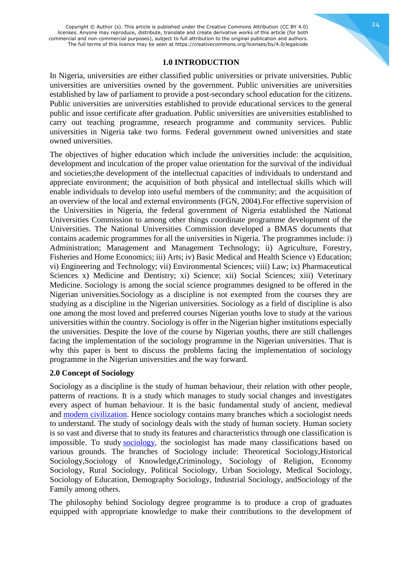## **1.0 INTRODUCTION**

In Nigeria, universities are either classified public universities or private universities. Public universities are universities owned by the government. Public universities are universities established by law of parliament to provide a post-secondary school education for the citizens. Public universities are universities established to provide educational services to the general public and issue certificate after graduation. Public universities are universities established to carry out teaching programme, research programme and community services. Public universities in Nigeria take two forms. Federal government owned universities and state owned universities.

The objectives of higher education which include the universities include: the acquisition, development and inculcation of the proper value orientation for the survival of the individual and societies;the development of the intellectual capacities of individuals to understand and appreciate environment; the acquisition of both physical and intellectual skills which will enable individuals to develop into useful members of the community; and the acquisition of an overview of the local and external environments (FGN, 2004).For effective supervision of the Universities in Nigeria, the federal government of Nigeria established the National Universities Commission to among other things coordinate programme development of the Universities. The National Universities Commission developed a BMAS documents that contains academic programmes for all the universities in Nigeria. The programmes include: i) Administration; Management and Management Technology; ii) Agriculture, Forestry, Fisheries and Home Economics; iii) Arts; iv) Basic Medical and Health Science v) Education; vi) Engineering and Technology; vii) Environmental Sciences; viii) Law; ix) Pharmaceutical Sciences x) Medicine and Dentistry; xi) Science; xii) Social Sciences; xiii) Veterinary Medicine. Sociology is among the social science programmes designed to be offered in the Nigerian universities.Sociology as a discipline is not exempted from the courses they are studying as a discipline in the Nigerian universities. Sociology as a field of discipline is also one among the most loved and preferred courses Nigerian youths love to study at the various universities within the country. Sociology is offer in the Nigerian higher institutions especially the universities. Despite the love of the course by Nigerian youths, there are still challenges facing the implementation of the sociology programme in the Nigerian universities. That is why this paper is bent to discuss the problems facing the implementation of sociology programme in the Nigerian universities and the way forward.

#### **2.0 Concept of Sociology**

Sociology as a discipline is the study of human behaviour, their relation with other people, patterns of reactions. It is a study which manages to study social changes and investigates every aspect of human behaviour. It is the basic fundamental study of ancient, medieval and [modern civilization.](https://www.sociologygroup.com/civilization/) Hence sociology contains many branches which a sociologist needs to understand. The study of sociology deals with the study of human society. Human society is so vast and diverse that to study its features and characteristics through one classification is impossible. To study [sociology,](https://www.sociologygroup.com/emergence-development-sociology/) the sociologist has made many classifications based on various grounds. The branches of Sociology include: Theoretical Sociology,Historical Sociology,Sociology of Knowledge**,**Criminology, Sociology of Religion, Economy Sociology, Rural Sociology, Political Sociology, Urban Sociology, Medical Sociology, Sociology of Education, Demography Sociology, Industrial Sociology, andSociology of the Family among others.

The philosophy behind Sociology degree programme is to produce a crop of graduates equipped with appropriate knowledge to make their contributions to the development of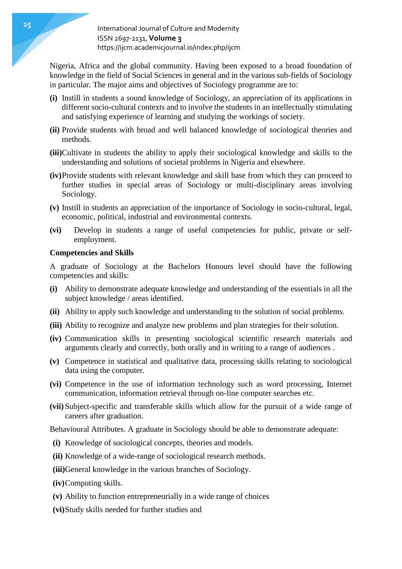Nigeria, Africa and the global community. Having been exposed to a broad foundation of knowledge in the field of Social Sciences in general and in the various sub-fields of Sociology in particular. The major aims and objectives of Sociology programme are to:

- **(i)** Instill in students a sound knowledge of Sociology, an appreciation of its applications in different socio-cultural contexts and to involve the students in an intellectually stimulating and satisfying experience of learning and studying the workings of society.
- **(ii)** Provide students with broad and well balanced knowledge of sociological theories and methods.
- **(iii)**Cultivate in students the ability to apply their sociological knowledge and skills to the understanding and solutions of societal problems in Nigeria and elsewhere.
- **(iv)**Provide students with relevant knowledge and skill base from which they can proceed to further studies in special areas of Sociology or multi-disciplinary areas involving Sociology.
- **(v)** Instill in students an appreciation of the importance of Sociology in socio-cultural, legal, economic, political, industrial and environmental contexts.
- **(vi)** Develop in students a range of useful competencies for public, private or selfemployment.

#### **Competencies and Skills**

A graduate of Sociology at the Bachelors Honours level should have the following competencies and skills:

- **(i)** Ability to demonstrate adequate knowledge and understanding of the essentials in all the subject knowledge / areas identified.
- **(ii)** Ability to apply such knowledge and understanding to the solution of social problems.
- **(iii)** Ability to recognize and analyze new problems and plan strategies for their solution.
- **(iv)** Communication skills in presenting sociological scientific research materials and arguments clearly and correctly, both orally and in writing to a range of audiences .
- **(v)** Competence in statistical and qualitative data, processing skills relating to sociological data using the computer.
- **(vi)** Competence in the use of information technology such as word processing, Internet communication, information retrieval through on-line computer searches etc.
- **(vii)** Subject-specific and transferable skills which allow for the pursuit of a wide range of careers after graduation.

Behavioural Attributes. A graduate in Sociology should be able to demonstrate adequate:

- **(i)** Knowledge of sociological concepts, theories and models.
- **(ii)** Knowledge of a wide-range of sociological research methods.
- **(iii)**General knowledge in the various branches of Sociology.
- **(iv)**Computing skills.
- **(v)** Ability to function entrepreneurially in a wide range of choices
- **(vi)**Study skills needed for further studies and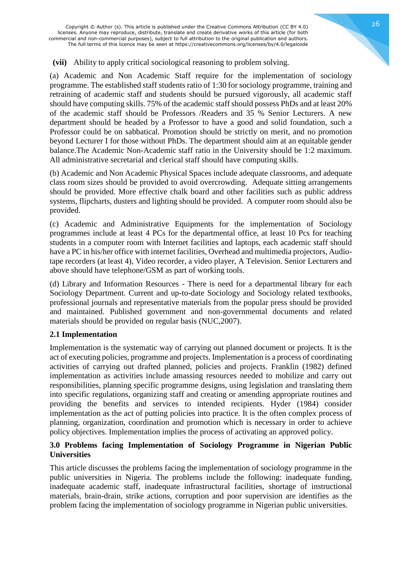Copyright © Author (s). This article is published under the Creative Commons Attribution (CC BY 4.0) licenses. Anyone may reproduce, distribute, translate and create derivative works of this article (for both commercial and non-commercial purposes), subject to full attribution to the original publication and authors. The full terms of this licence may be seen at https://creativecommons.org/licenses/by/4.0/legalcode

## **(vii)** Ability to apply critical sociological reasoning to problem solving.

(a) Academic and Non Academic Staff require for the implementation of sociology programme. The established staff students ratio of 1:30 for sociology programme, training and retraining of academic staff and students should be pursued vigorously, all academic staff should have computing skills. 75% of the academic staff should possess PhDs and at least 20% of the academic staff should be Professors /Readers and 35 % Senior Lecturers. A new department should be headed by a Professor to have a good and solid foundation, such a Professor could be on sabbatical. Promotion should be strictly on merit, and no promotion beyond Lecturer I for those without PhDs. The department should aim at an equitable gender balance.The Academic Non-Academic staff ratio in the University should be 1:2 maximum. All administrative secretarial and clerical staff should have computing skills.

(b) Academic and Non Academic Physical Spaces include adequate classrooms, and adequate class room sizes should be provided to avoid overcrowding. Adequate sitting arrangements should be provided. More effective chalk board and other facilities such as public address systems, flipcharts, dusters and lighting should be provided. A computer room should also be provided.

(c) Academic and Administrative Equipments for the implementation of Sociology programmes include at least 4 PCs for the departmental office, at least 10 Pcs for teaching students in a computer room with Internet facilities and laptops, each academic staff should have a PC in his/her office with internet facilities, Overhead and multimedia projectors, Audiotape recorders (at least 4), Video recorder, a video player, A Television. Senior Lecturers and above should have telephone/GSM as part of working tools.

(d) Library and Information Resources - There is need for a departmental library for each Sociology Department. Current and up-to-date Sociology and Sociology related textbooks, professional journals and representative materials from the popular press should be provided and maintained. Published government and non-governmental documents and related materials should be provided on regular basis (NUC,2007).

# **2.1 Implementation**

Implementation is the systematic way of carrying out planned document or projects. It is the act of executing policies, programme and projects. Implementation is a process of coordinating activities of carrying out drafted planned, policies and projects. Franklin (1982) defined implementation as activities include amassing resources needed to mobilize and carry out responsibilities, planning specific programme designs, using legislation and translating them into specific regulations, organizing staff and creating or amending appropriate routines and providing the benefits and services to intended recipients. Hyder (1984) consider implementation as the act of putting policies into practice. It is the often complex process of planning, organization, coordination and promotion which is necessary in order to achieve policy objectives. Implementation implies the process of activating an approved policy.

# **3.0 Problems facing Implementation of Sociology Programme in Nigerian Public Universities**

This article discusses the problems facing the implementation of sociology programme in the public universities in Nigeria. The problems include the following: inadequate funding, inadequate academic staff, inadequate infrastructural facilities, shortage of instructional materials, brain-drain, strike actions, corruption and poor supervision are identifies as the problem facing the implementation of sociology programme in Nigerian public universities.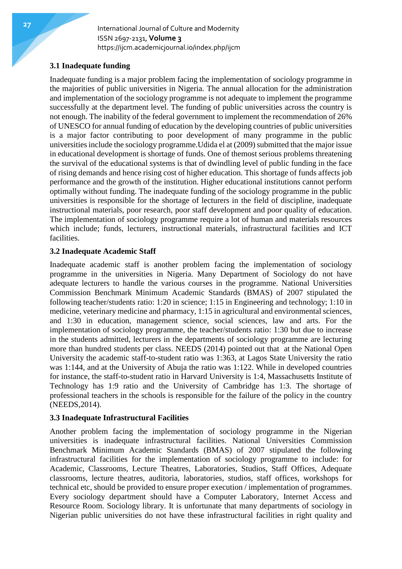# **3.1 Inadequate funding**

Inadequate funding is a major problem facing the implementation of sociology programme in the majorities of public universities in Nigeria. The annual allocation for the administration and implementation of the sociology programme is not adequate to implement the programme successfully at the department level. The funding of public universities across the country is not enough. The inability of the federal government to implement the recommendation of 26% of UNESCO for annual funding of education by the developing countries of public universities is a major factor contributing to poor development of many programme in the public universities include the sociology programme.Udida el at (2009) submitted that the major issue in educational development is shortage of funds. One of themost serious problems threatening the survival of the educational systems is that of dwindling level of public funding in the face of rising demands and hence rising cost of higher education. This shortage of funds affects job performance and the growth of the institution. Higher educational institutions cannot perform optimally without funding. The inadequate funding of the sociology programme in the public universities is responsible for the shortage of lecturers in the field of discipline, inadequate instructional materials, poor research, poor staff development and poor quality of education. The implementation of sociology programme require a lot of human and materials resources which include; funds, lecturers, instructional materials, infrastructural facilities and ICT facilities.

# **3.2 Inadequate Academic Staff**

Inadequate academic staff is another problem facing the implementation of sociology programme in the universities in Nigeria. Many Department of Sociology do not have adequate lecturers to handle the various courses in the programme. National Universities Commission Benchmark Minimum Academic Standards (BMAS) of 2007 stipulated the following teacher/students ratio: 1:20 in science; 1:15 in Engineering and technology; 1:10 in medicine, veterinary medicine and pharmacy, 1:15 in agricultural and environmental sciences, and 1:30 in education, management science, social sciences, law and arts. For the implementation of sociology programme, the teacher/students ratio: 1:30 but due to increase in the students admitted, lecturers in the departments of sociology programme are lecturing more than hundred students per class. NEEDS (2014) pointed out that at the National Open University the academic staff-to-student ratio was 1:363, at Lagos State University the ratio was 1:144, and at the University of Abuja the ratio was 1:122. While in developed countries for instance, the staff-to-student ratio in Harvard University is 1:4, Massachusetts Institute of Technology has 1:9 ratio and the University of Cambridge has 1:3. The shortage of professional teachers in the schools is responsible for the failure of the policy in the country (NEEDS,2014).

#### **3.3 Inadequate Infrastructural Facilities**

Another problem facing the implementation of sociology programme in the Nigerian universities is inadequate infrastructural facilities. National Universities Commission Benchmark Minimum Academic Standards (BMAS) of 2007 stipulated the following infrastructural facilities for the implementation of sociology programme to include: for Academic, Classrooms, Lecture Theatres, Laboratories, Studios, Staff Offices, Adequate classrooms, lecture theatres, auditoria, laboratories, studios, staff offices, workshops for technical etc, should be provided to ensure proper execution / implementation of programmes. Every sociology department should have a Computer Laboratory, Internet Access and Resource Room. Sociology library. It is unfortunate that many departments of sociology in Nigerian public universities do not have these infrastructural facilities in right quality and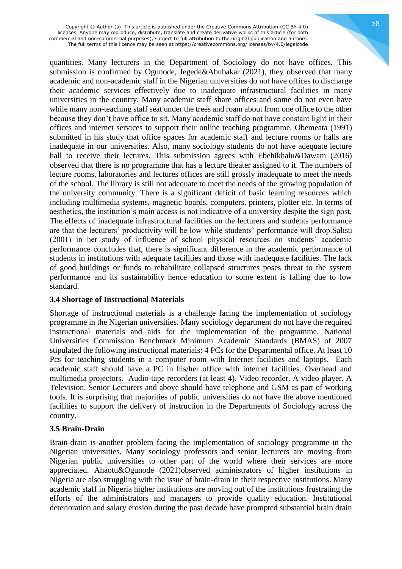quantities. Many lecturers in the Department of Sociology do not have offices. This submission is confirmed by Ogunode, Jegede&Abubakar (2021), they observed that many academic and non-academic staff in the Nigerian universities do not have offices to discharge their academic services effectively due to inadequate infrastructural facilities in many universities in the country. Many academic staff share offices and some do not even have while many non-teaching staff seat under the trees and roam about from one office to the other because they don't have office to sit. Many academic staff do not have constant light in their offices and internet services to support their online teaching programme. Obemeata (1991) submitted in his study that office spaces for academic staff and lecture rooms or halls are inadequate in our universities. Also, many sociology students do not have adequate lecture hall to receive their lectures. This submission agrees with Ebehikhalu&Dawam (2016) observed that there is no programme that has a lecture theater assigned to it. The numbers of lecture rooms, laboratories and lectures offices are still grossly inadequate to meet the needs of the school. The library is still not adequate to meet the needs of the growing population of the university community. There is a significant deficit of basic learning resources which including multimedia systems, magnetic boards, computers, printers, plotter etc. In terms of aesthetics, the institution's main access is not indicative of a university despite the sign post. The effects of inadequate infrastructural facilities on the lecturers and students performance are that the lecturers' productivity will be low while students' performance will drop.Salisu (2001) in her study of influence of school physical resources on students' academic performance concludes that, there is significant difference in the academic performance of students in institutions with adequate facilities and those with inadequate facilities. The lack of good buildings or funds to rehabilitate collapsed structures poses threat to the system performance and its sustainability hence education to some extent is falling due to low standard.

#### **3.4 Shortage of Instructional Materials**

Shortage of instructional materials is a challenge facing the implementation of sociology programme in the Nigerian universities. Many sociology department do not have the required instructional materials and aids for the implementation of the programme. National Universities Commission Benchmark Minimum Academic Standards (BMAS) of 2007 stipulated the following instructional materials: 4 PCs for the Departmental office. At least 10 Pcs for teaching students in a computer room with Internet facilities and laptops. Each academic staff should have a PC in his/her office with internet facilities. Overhead and multimedia projectors. Audio-tape recorders (at least 4). Video recorder. A video player. A Television. Senior Lecturers and above should have telephone and GSM as part of working tools. It is surprising that majorities of public universities do not have the above mentioned facilities to support the delivery of instruction in the Departments of Sociology across the country.

# **3.5 Brain-Drain**

Brain-drain is another problem facing the implementation of sociology programme in the Nigerian universities. Many sociology professors and senior lecturers are moving from Nigerian public universities to other part of the world where their services are more appreciated. Ahaotu&Ogunode (2021)observed administrators of higher institutions in Nigeria are also struggling with the issue of brain-drain in their respective institutions. Many academic staff in Nigeria higher institutions are moving out of the institutions frustrating the efforts of the administrators and managers to provide quality education. Institutional deterioration and salary erosion during the past decade have prompted substantial brain drain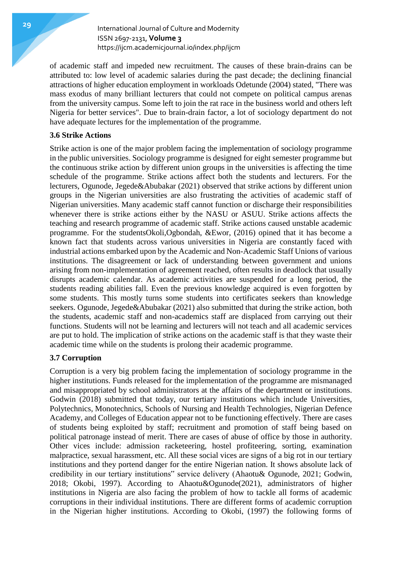of academic staff and impeded new recruitment. The causes of these brain-drains can be attributed to: low level of academic salaries during the past decade; the declining financial attractions of higher education employment in workloads Odetunde (2004) stated, "There was mass exodus of many brilliant lecturers that could not compete on political campus arenas from the university campus. Some left to join the rat race in the business world and others left Nigeria for better services". Due to brain-drain factor, a lot of sociology department do not have adequate lectures for the implementation of the programme.

## **3.6 Strike Actions**

Strike action is one of the major problem facing the implementation of sociology programme in the public universities. Sociology programme is designed for eight semester programme but the continuous strike action by different union groups in the universities is affecting the time schedule of the programme. Strike actions affect both the students and lecturers. For the lecturers, Ogunode, Jegede&Abubakar (2021) observed that strike actions by different union groups in the Nigerian universities are also frustrating the activities of academic staff of Nigerian universities. Many academic staff cannot function or discharge their responsibilities whenever there is strike actions either by the NASU or ASUU. Strike actions affects the teaching and research programme of academic staff. Strike actions caused unstable academic programme. For the studentsOkoli,Ogbondah, &Ewor, (2016) opined that it has become a known fact that students across various universities in Nigeria are constantly faced with industrial actions embarked upon by the Academic and Non-Academic Staff Unions of various institutions. The disagreement or lack of understanding between government and unions arising from non-implementation of agreement reached, often results in deadlock that usually disrupts academic calendar. As academic activities are suspended for a long period, the students reading abilities fall. Even the previous knowledge acquired is even forgotten by some students. This mostly turns some students into certificates seekers than knowledge seekers. Ogunode, Jegede&Abubakar (2021) also submitted that during the strike action, both the students, academic staff and non-academics staff are displaced from carrying out their functions. Students will not be learning and lecturers will not teach and all academic services are put to hold. The implication of strike actions on the academic staff is that they waste their academic time while on the students is prolong their academic programme.

#### **3.7 Corruption**

Corruption is a very big problem facing the implementation of sociology programme in the higher institutions. Funds released for the implementation of the programme are mismanaged and misappropriated by school administrators at the affairs of the department or institutions. Godwin (2018) submitted that today, our tertiary institutions which include Universities, Polytechnics, Monotechnics, Schools of Nursing and Health Technologies, Nigerian Defence Academy, and Colleges of Education appear not to be functioning effectively. There are cases of students being exploited by staff; recruitment and promotion of staff being based on political patronage instead of merit. There are cases of abuse of office by those in authority. Other vices include: admission racketeering, hostel profiteering, sorting, examination malpractice, sexual harassment, etc. All these social vices are signs of a big rot in our tertiary institutions and they portend danger for the entire Nigerian nation. It shows absolute lack of credibility in our tertiary institutions" service delivery (Ahaotu& Ogunode, 2021; Godwin, 2018; Okobi, 1997). According to Ahaotu&Ogunode(2021), administrators of higher institutions in Nigeria are also facing the problem of how to tackle all forms of academic corruptions in their individual institutions. There are different forms of academic corruption in the Nigerian higher institutions. According to Okobi, (1997) the following forms of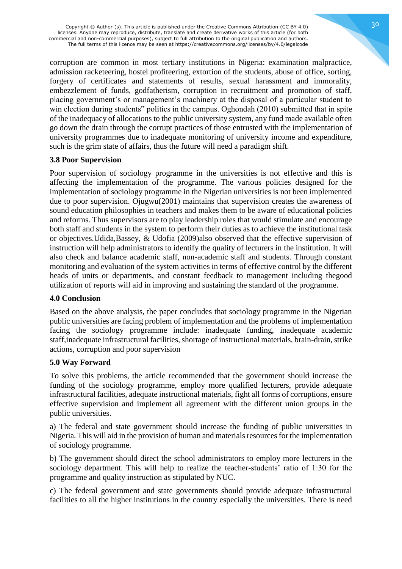Copyright © Author (s). This article is published under the Creative Commons Attribution (CC BY 4.0) licenses. Anyone may reproduce, distribute, translate and create derivative works of this article (for both commercial and non-commercial purposes), subject to full attribution to the original publication and authors. The full terms of this licence may be seen at https://creativecommons.org/licenses/by/4.0/legalcode

corruption are common in most tertiary institutions in Nigeria: examination malpractice, admission racketeering, hostel profiteering, extortion of the students, abuse of office, sorting, forgery of certificates and statements of results, sexual harassment and immorality, embezzlement of funds, godfatherism, corruption in recruitment and promotion of staff, placing government's or management's machinery at the disposal of a particular student to win election during students" politics in the campus. Oghondah (2010) submitted that in spite of the inadequacy of allocations to the public university system, any fund made available often go down the drain through the corrupt practices of those entrusted with the implementation of university programmes due to inadequate monitoring of university income and expenditure, such is the grim state of affairs, thus the future will need a paradigm shift.

# **3.8 Poor Supervision**

Poor supervision of sociology programme in the universities is not effective and this is affecting the implementation of the programme. The various policies designed for the implementation of sociology programme in the Nigerian universities is not been implemented due to poor supervision. Ojugwu(2001) maintains that supervision creates the awareness of sound education philosophies in teachers and makes them to be aware of educational policies and reforms. Thus supervisors are to play leadership roles that would stimulate and encourage both staff and students in the system to perform their duties as to achieve the institutional task or objectives.Udida,Bassey, & Udofia (2009)also observed that the effective supervision of instruction will help administrators to identify the quality of lecturers in the institution. It will also check and balance academic staff, non-academic staff and students. Through constant monitoring and evaluation of the system activities in terms of effective control by the different heads of units or departments, and constant feedback to management including thegood utilization of reports will aid in improving and sustaining the standard of the programme.

#### **4.0 Conclusion**

Based on the above analysis, the paper concludes that sociology programme in the Nigerian public universities are facing problem of implementation and the problems of implementation facing the sociology programme include: inadequate funding, inadequate academic staff,inadequate infrastructural facilities, shortage of instructional materials, brain-drain, strike actions, corruption and poor supervision

#### **5.0 Way Forward**

To solve this problems, the article recommended that the government should increase the funding of the sociology programme, employ more qualified lecturers, provide adequate infrastructural facilities, adequate instructional materials, fight all forms of corruptions, ensure effective supervision and implement all agreement with the different union groups in the public universities.

a) The federal and state government should increase the funding of public universities in Nigeria. This will aid in the provision of human and materials resources for the implementation of sociology programme.

b) The government should direct the school administrators to employ more lecturers in the sociology department. This will help to realize the teacher-students' ratio of 1:30 for the programme and quality instruction as stipulated by NUC.

c) The federal government and state governments should provide adequate infrastructural facilities to all the higher institutions in the country especially the universities. There is need